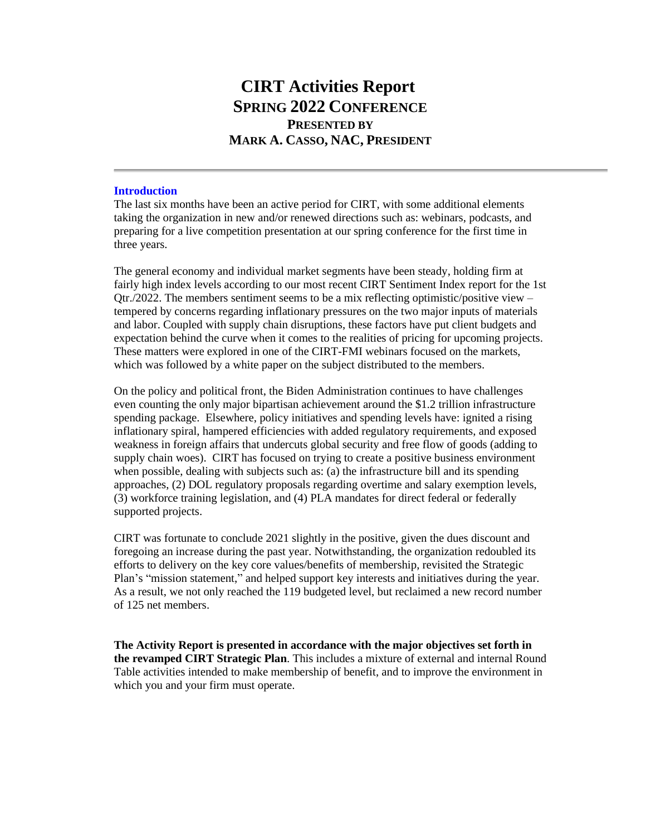# **CIRT Activities Report SPRING 2022 CONFERENCE PRESENTED BY MARK A. CASSO, NAC, PRESIDENT**

# **Introduction**

The last six months have been an active period for CIRT, with some additional elements taking the organization in new and/or renewed directions such as: webinars, podcasts, and preparing for a live competition presentation at our spring conference for the first time in three years.

The general economy and individual market segments have been steady, holding firm at fairly high index levels according to our most recent CIRT Sentiment Index report for the 1st Otr./2022. The members sentiment seems to be a mix reflecting optimistic/positive view – tempered by concerns regarding inflationary pressures on the two major inputs of materials and labor. Coupled with supply chain disruptions, these factors have put client budgets and expectation behind the curve when it comes to the realities of pricing for upcoming projects. These matters were explored in one of the CIRT-FMI webinars focused on the markets, which was followed by a white paper on the subject distributed to the members.

On the policy and political front, the Biden Administration continues to have challenges even counting the only major bipartisan achievement around the \$1.2 trillion infrastructure spending package. Elsewhere, policy initiatives and spending levels have: ignited a rising inflationary spiral, hampered efficiencies with added regulatory requirements, and exposed weakness in foreign affairs that undercuts global security and free flow of goods (adding to supply chain woes). CIRT has focused on trying to create a positive business environment when possible, dealing with subjects such as: (a) the infrastructure bill and its spending approaches, (2) DOL regulatory proposals regarding overtime and salary exemption levels, (3) workforce training legislation, and (4) PLA mandates for direct federal or federally supported projects.

CIRT was fortunate to conclude 2021 slightly in the positive, given the dues discount and foregoing an increase during the past year. Notwithstanding, the organization redoubled its efforts to delivery on the key core values/benefits of membership, revisited the Strategic Plan's "mission statement," and helped support key interests and initiatives during the year. As a result, we not only reached the 119 budgeted level, but reclaimed a new record number of 125 net members.

**The Activity Report is presented in accordance with the major objectives set forth in the revamped CIRT Strategic Plan**. This includes a mixture of external and internal Round Table activities intended to make membership of benefit, and to improve the environment in which you and your firm must operate.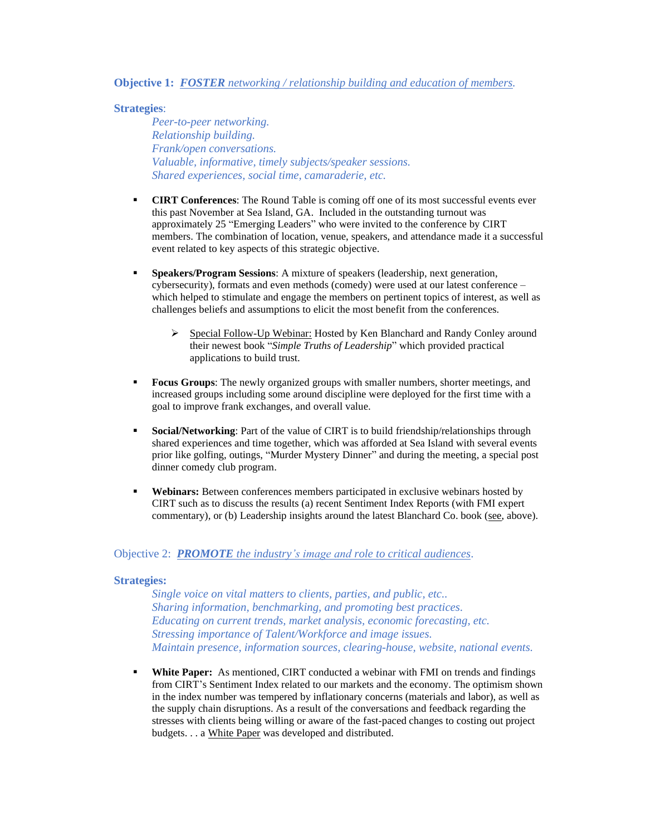## **Objective 1:** *FOSTER networking / relationship building and education of members.*

# **Strategies**:

*Peer-to-peer networking. Relationship building. Frank/open conversations. Valuable, informative, timely subjects/speaker sessions. Shared experiences, social time, camaraderie, etc.*

- **CIRT Conferences:** The Round Table is coming off one of its most successful events ever this past November at Sea Island, GA. Included in the outstanding turnout was approximately 25 "Emerging Leaders" who were invited to the conference by CIRT members. The combination of location, venue, speakers, and attendance made it a successful event related to key aspects of this strategic objective.
- **Speakers/Program Sessions**: A mixture of speakers (leadership, next generation, cybersecurity), formats and even methods (comedy) were used at our latest conference – which helped to stimulate and engage the members on pertinent topics of interest, as well as challenges beliefs and assumptions to elicit the most benefit from the conferences.
	- ➢ Special Follow-Up Webinar: Hosted by Ken Blanchard and Randy Conley around their newest book "*Simple Truths of Leadership*" which provided practical applications to build trust.
- **Focus Groups:** The newly organized groups with smaller numbers, shorter meetings, and increased groups including some around discipline were deployed for the first time with a goal to improve frank exchanges, and overall value.
- **Social/Networking**: Part of the value of CIRT is to build friendship/relationships through shared experiences and time together, which was afforded at Sea Island with several events prior like golfing, outings, "Murder Mystery Dinner" and during the meeting, a special post dinner comedy club program.
- **Webinars:** Between conferences members participated in exclusive webinars hosted by CIRT such as to discuss the results (a) recent Sentiment Index Reports (with FMI expert commentary), or (b) Leadership insights around the latest Blanchard Co. book (see, above).

## Objective 2: *PROMOTE the industry's image and role to critical audiences*.

#### **Strategies:**

*Single voice on vital matters to clients, parties, and public, etc.. Sharing information, benchmarking, and promoting best practices. Educating on current trends, market analysis, economic forecasting, etc. Stressing importance of Talent/Workforce and image issues. Maintain presence, information sources, clearing-house, website, national events.*

▪ **White Paper:** As mentioned, CIRT conducted a webinar with FMI on trends and findings from CIRT's Sentiment Index related to our markets and the economy. The optimism shown in the index number was tempered by inflationary concerns (materials and labor), as well as the supply chain disruptions. As a result of the conversations and feedback regarding the stresses with clients being willing or aware of the fast-paced changes to costing out project budgets. . . a White Paper was developed and distributed.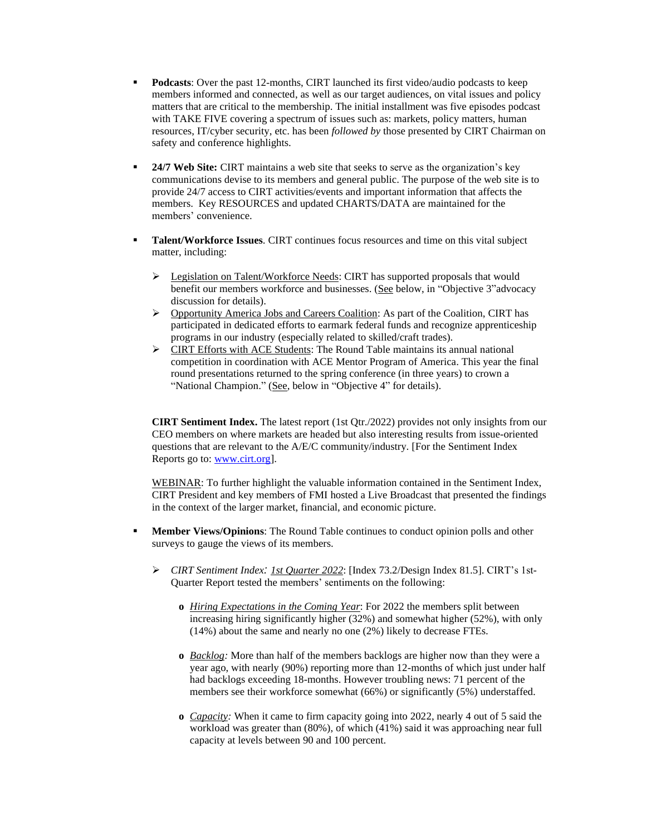- **Podcasts:** Over the past 12-months, CIRT launched its first video/audio podcasts to keep members informed and connected, as well as our target audiences, on vital issues and policy matters that are critical to the membership. The initial installment was five episodes podcast with TAKE FIVE covering a spectrum of issues such as: markets, policy matters, human resources, IT/cyber security, etc. has been *followed by* those presented by CIRT Chairman on safety and conference highlights.
- **24/7 Web Site:** CIRT maintains a web site that seeks to serve as the organization's key communications devise to its members and general public. The purpose of the web site is to provide 24/7 access to CIRT activities/events and important information that affects the members. Key RESOURCES and updated CHARTS/DATA are maintained for the members' convenience.
- **Talent/Workforce Issues**. CIRT continues focus resources and time on this vital subject matter, including:
	- ➢ Legislation on Talent/Workforce Needs: CIRT has supported proposals that would benefit our members workforce and businesses. (See below, in "Objective 3"advocacy discussion for details).
	- ➢ Opportunity America Jobs and Careers Coalition: As part of the Coalition, CIRT has participated in dedicated efforts to earmark federal funds and recognize apprenticeship programs in our industry (especially related to skilled/craft trades).
	- ➢ CIRT Efforts with ACE Students: The Round Table maintains its annual national competition in coordination with ACE Mentor Program of America. This year the final round presentations returned to the spring conference (in three years) to crown a "National Champion." (See, below in "Objective 4" for details).

**CIRT Sentiment Index.** The latest report (1st Qtr./2022) provides not only insights from our CEO members on where markets are headed but also interesting results from issue-oriented questions that are relevant to the A/E/C community/industry. [For the Sentiment Index Reports go to: [www.cirt.org\]](http://www.cirt.org/).

WEBINAR: To further highlight the valuable information contained in the Sentiment Index, CIRT President and key members of FMI hosted a Live Broadcast that presented the findings in the context of the larger market, financial, and economic picture.

- **Member Views/Opinions:** The Round Table continues to conduct opinion polls and other surveys to gauge the views of its members.
	- ➢ *CIRT Sentiment Index: 1st Quarter 2022*: [Index 73.2/Design Index 81.5]. CIRT's 1st-Quarter Report tested the members' sentiments on the following:
		- **o** *Hiring Expectations in the Coming Year*: For 2022 the members split between increasing hiring significantly higher (32%) and somewhat higher (52%), with only (14%) about the same and nearly no one (2%) likely to decrease FTEs.
		- **o** *Backlog:* More than half of the members backlogs are higher now than they were a year ago, with nearly (90%) reporting more than 12-months of which just under half had backlogs exceeding 18-months. However troubling news: 71 percent of the members see their workforce somewhat (66%) or significantly (5%) understaffed.
		- **o** *Capacity:* When it came to firm capacity going into 2022, nearly 4 out of 5 said the workload was greater than (80%), of which (41%) said it was approaching near full capacity at levels between 90 and 100 percent.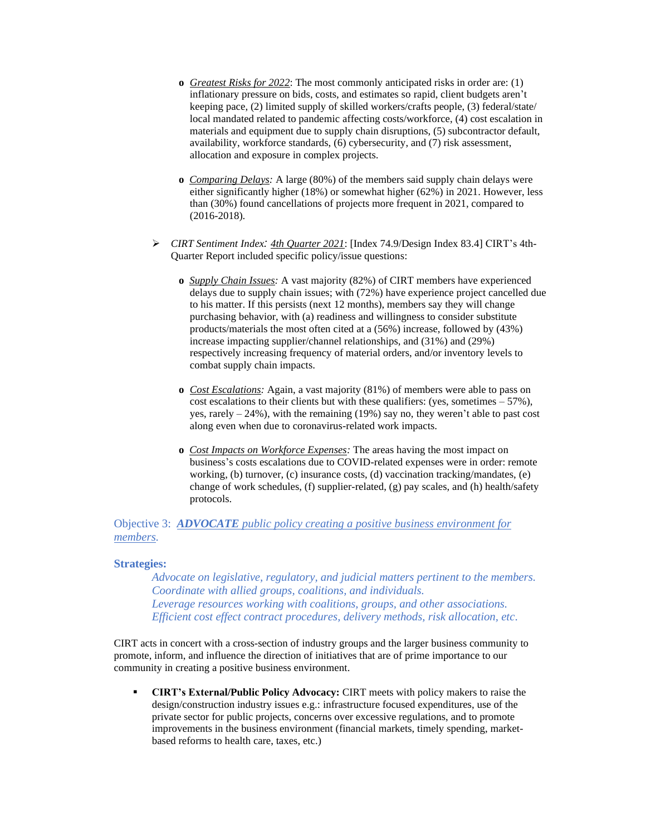- **o** *Greatest Risks for 2022*: The most commonly anticipated risks in order are: (1) inflationary pressure on bids, costs, and estimates so rapid, client budgets aren't keeping pace, (2) limited supply of skilled workers/crafts people, (3) federal/state/ local mandated related to pandemic affecting costs/workforce, (4) cost escalation in materials and equipment due to supply chain disruptions, (5) subcontractor default, availability, workforce standards, (6) cybersecurity, and (7) risk assessment, allocation and exposure in complex projects.
- **o** *Comparing Delays:* A large (80%) of the members said supply chain delays were either significantly higher (18%) or somewhat higher (62%) in 2021. However, less than (30%) found cancellations of projects more frequent in 2021, compared to (2016-2018).
- ➢ *CIRT Sentiment Index: 4th Quarter 2021*: [Index 74.9/Design Index 83.4] CIRT's 4th-Quarter Report included specific policy/issue questions:
	- **o** *Supply Chain Issues:* A vast majority (82%) of CIRT members have experienced delays due to supply chain issues; with (72%) have experience project cancelled due to his matter. If this persists (next 12 months), members say they will change purchasing behavior, with (a) readiness and willingness to consider substitute products/materials the most often cited at a (56%) increase, followed by (43%) increase impacting supplier/channel relationships, and (31%) and (29%) respectively increasing frequency of material orders, and/or inventory levels to combat supply chain impacts.
	- **o** *Cost Escalations:* Again, a vast majority (81%) of members were able to pass on cost escalations to their clients but with these qualifiers: (yes, sometimes  $-57\%$ ), yes, rarely  $-24\%$ ), with the remaining (19%) say no, they weren't able to past cost along even when due to coronavirus-related work impacts.
	- **o** *Cost Impacts on Workforce Expenses:* The areas having the most impact on business's costs escalations due to COVID-related expenses were in order: remote working, (b) turnover, (c) insurance costs, (d) vaccination tracking/mandates, (e) change of work schedules, (f) supplier-related, (g) pay scales, and (h) health/safety protocols.

# Objective 3: *ADVOCATE public policy creating a positive business environment for members.*

## **Strategies:**

*Advocate on legislative, regulatory, and judicial matters pertinent to the members. Coordinate with allied groups, coalitions, and individuals. Leverage resources working with coalitions, groups, and other associations. Efficient cost effect contract procedures, delivery methods, risk allocation, etc*.

CIRT acts in concert with a cross-section of industry groups and the larger business community to promote, inform, and influence the direction of initiatives that are of prime importance to our community in creating a positive business environment.

▪ **CIRT's External/Public Policy Advocacy:** CIRT meets with policy makers to raise the design/construction industry issues e.g.: infrastructure focused expenditures, use of the private sector for public projects, concerns over excessive regulations, and to promote improvements in the business environment (financial markets, timely spending, marketbased reforms to health care, taxes, etc.)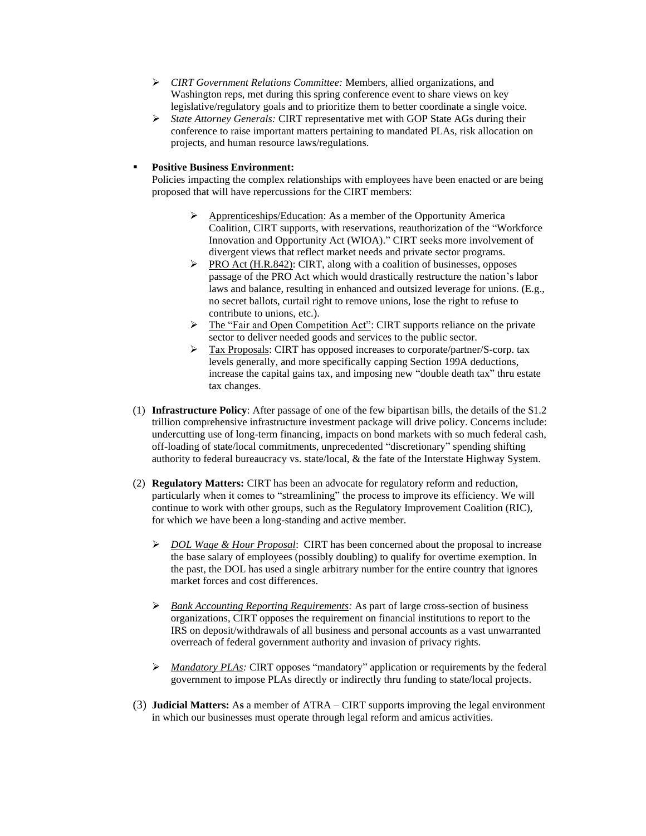- ➢ *CIRT Government Relations Committee:* Members, allied organizations, and Washington reps, met during this spring conference event to share views on key legislative/regulatory goals and to prioritize them to better coordinate a single voice.
- ➢ *State Attorney Generals:* CIRT representative met with GOP State AGs during their conference to raise important matters pertaining to mandated PLAs, risk allocation on projects, and human resource laws/regulations.

## ▪ **Positive Business Environment:**

Policies impacting the complex relationships with employees have been enacted or are being proposed that will have repercussions for the CIRT members:

- ➢ Apprenticeships/Education: As a member of the Opportunity America Coalition, CIRT supports, with reservations, reauthorization of the "Workforce Innovation and Opportunity Act (WIOA)." CIRT seeks more involvement of divergent views that reflect market needs and private sector programs.
- ➢ PRO Act (H.R.842): CIRT, along with a coalition of businesses, opposes passage of the PRO Act which would drastically restructure the nation's labor laws and balance, resulting in enhanced and outsized leverage for unions. (E.g., no secret ballots, curtail right to remove unions, lose the right to refuse to contribute to unions, etc.).
- ➢ The "Fair and Open Competition Act": CIRT supports reliance on the private sector to deliver needed goods and services to the public sector.
- ➢ Tax Proposals: CIRT has opposed increases to corporate/partner/S-corp. tax levels generally, and more specifically capping Section 199A deductions, increase the capital gains tax, and imposing new "double death tax" thru estate tax changes.
- (1) **Infrastructure Policy**: After passage of one of the few bipartisan bills, the details of the \$1.2 trillion comprehensive infrastructure investment package will drive policy. Concerns include: undercutting use of long-term financing, impacts on bond markets with so much federal cash, off-loading of state/local commitments, unprecedented "discretionary" spending shifting authority to federal bureaucracy vs. state/local, & the fate of the Interstate Highway System.
- (2) **Regulatory Matters:** CIRT has been an advocate for regulatory reform and reduction, particularly when it comes to "streamlining" the process to improve its efficiency. We will continue to work with other groups, such as the Regulatory Improvement Coalition (RIC), for which we have been a long-standing and active member.
	- ➢ *DOL Wage & Hour Proposal*: CIRT has been concerned about the proposal to increase the base salary of employees (possibly doubling) to qualify for overtime exemption. In the past, the DOL has used a single arbitrary number for the entire country that ignores market forces and cost differences.
	- ➢ *Bank Accounting Reporting Requirements:* As part of large cross-section of business organizations, CIRT opposes the requirement on financial institutions to report to the IRS on deposit/withdrawals of all business and personal accounts as a vast unwarranted overreach of federal government authority and invasion of privacy rights.
	- ➢ *Mandatory PLAs:* CIRT opposes "mandatory" application or requirements by the federal government to impose PLAs directly or indirectly thru funding to state/local projects.
- (3) **Judicial Matters:** A**s** a member of ATRA CIRT supports improving the legal environment in which our businesses must operate through legal reform and amicus activities.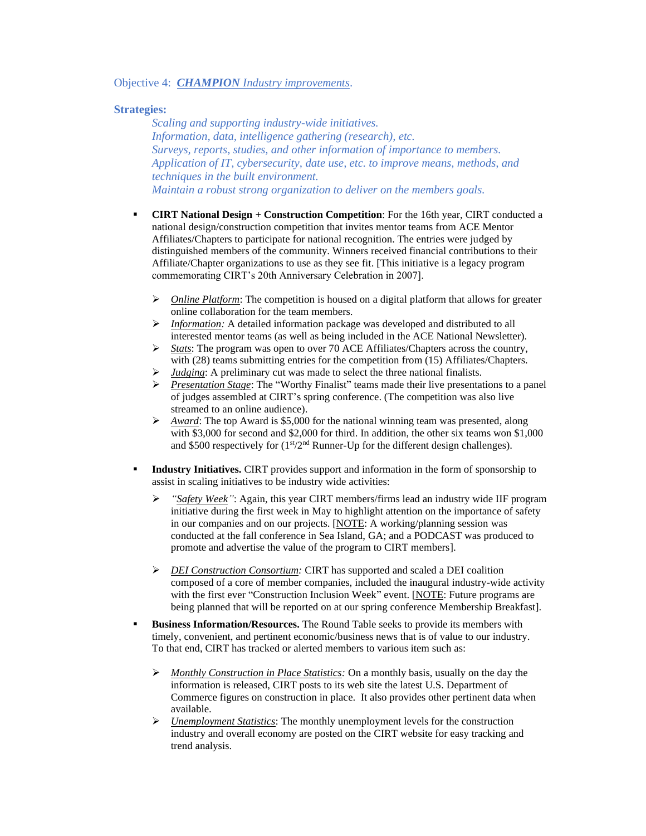### Objective 4: *CHAMPION Industry improvements*.

## **Strategies:**

*Scaling and supporting industry-wide initiatives. Information, data, intelligence gathering (research), etc. Surveys, reports, studies, and other information of importance to members. Application of IT, cybersecurity, date use, etc. to improve means, methods, and techniques in the built environment. Maintain a robust strong organization to deliver on the members goals.*

- **CIRT National Design + Construction Competition**: For the 16th year, CIRT conducted a national design/construction competition that invites mentor teams from ACE Mentor Affiliates/Chapters to participate for national recognition. The entries were judged by distinguished members of the community. Winners received financial contributions to their Affiliate/Chapter organizations to use as they see fit. [This initiative is a legacy program commemorating CIRT's 20th Anniversary Celebration in 2007].
	- ➢ *Online Platform*: The competition is housed on a digital platform that allows for greater online collaboration for the team members.
	- ➢ *Information:* A detailed information package was developed and distributed to all interested mentor teams (as well as being included in the ACE National Newsletter).
	- ➢ *Stats*: The program was open to over 70 ACE Affiliates/Chapters across the country, with (28) teams submitting entries for the competition from (15) Affiliates/Chapters.
	- *Judging*: A preliminary cut was made to select the three national finalists.
	- ➢ *Presentation Stage*: The "Worthy Finalist" teams made their live presentations to a panel of judges assembled at CIRT's spring conference. (The competition was also live streamed to an online audience).
	- ➢ *Award*: The top Award is \$5,000 for the national winning team was presented, along with \$3,000 for second and \$2,000 for third. In addition, the other six teams won \$1,000 and \$500 respectively for  $(1<sup>st</sup>/2<sup>nd</sup>$  Runner-Up for the different design challenges).
- **Industry Initiatives.** CIRT provides support and information in the form of sponsorship to assist in scaling initiatives to be industry wide activities:
	- "Safety Week": Again, this year CIRT members/firms lead an industry wide IIF program initiative during the first week in May to highlight attention on the importance of safety in our companies and on our projects. [NOTE: A working/planning session was conducted at the fall conference in Sea Island, GA; and a PODCAST was produced to promote and advertise the value of the program to CIRT members].
	- ➢ *DEI Construction Consortium:* CIRT has supported and scaled a DEI coalition composed of a core of member companies, included the inaugural industry-wide activity with the first ever "Construction Inclusion Week" event. [NOTE: Future programs are being planned that will be reported on at our spring conference Membership Breakfast].
- **Business Information/Resources.** The Round Table seeks to provide its members with timely, convenient, and pertinent economic/business news that is of value to our industry. To that end, CIRT has tracked or alerted members to various item such as:
	- ➢ *Monthly Construction in Place Statistics:* On a monthly basis, usually on the day the information is released, CIRT posts to its web site the latest U.S. Department of Commerce figures on construction in place. It also provides other pertinent data when available.
	- ➢ *Unemployment Statistics*: The monthly unemployment levels for the construction industry and overall economy are posted on the CIRT website for easy tracking and trend analysis.